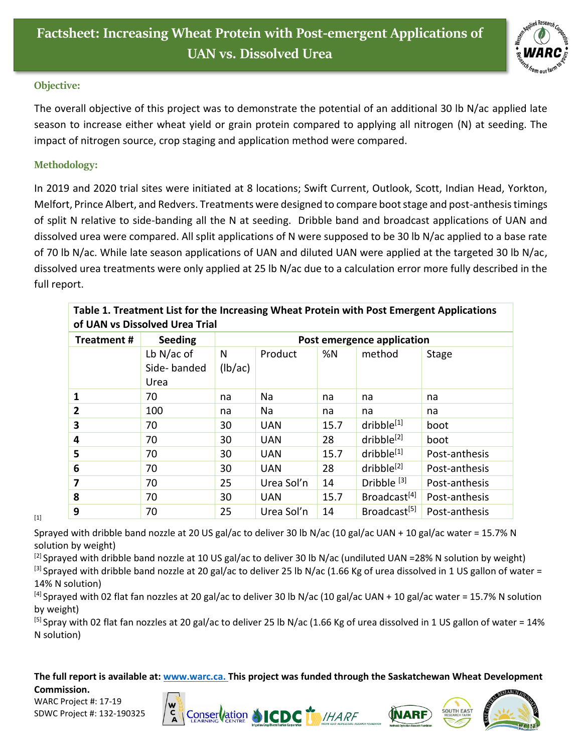

## **Objective:**

The overall objective of this project was to demonstrate the potential of an additional 30 lb N/ac applied late season to increase either wheat yield or grain protein compared to applying all nitrogen (N) at seeding. The impact of nitrogen source, crop staging and application method were compared.

## **Methodology:**

In 2019 and 2020 trial sites were initiated at 8 locations; Swift Current, Outlook, Scott, Indian Head, Yorkton, Melfort, Prince Albert, and Redvers. Treatments were designed to compare boot stage and post-anthesis timings of split N relative to side-banding all the N at seeding. Dribble band and broadcast applications of UAN and dissolved urea were compared. All split applications of N were supposed to be 30 lb N/ac applied to a base rate of 70 lb N/ac. While late season applications of UAN and diluted UAN were applied at the targeted 30 lb N/ac, dissolved urea treatments were only applied at 25 lb N/ac due to a calculation error more fully described in the full report.

| Table 1. Treatment List for the Increasing Wheat Protein with Post Emergent Applications<br>of UAN vs Dissolved Urea Trial |                                     |                            |            |      |                          |               |
|----------------------------------------------------------------------------------------------------------------------------|-------------------------------------|----------------------------|------------|------|--------------------------|---------------|
| <b>Treatment#</b>                                                                                                          | <b>Seeding</b>                      | Post emergence application |            |      |                          |               |
|                                                                                                                            | Lb $N/ac$ of<br>Side-banded<br>Urea | N<br>(lb/ac)               | Product    | %N   | method                   | Stage         |
| 1                                                                                                                          | 70                                  | na                         | Na         | na   | na                       | na            |
| $\mathbf{2}$                                                                                                               | 100                                 | na                         | Na         | na   | na                       | na            |
| 3                                                                                                                          | 70                                  | 30                         | <b>UAN</b> | 15.7 | dribble[1]               | boot          |
| 4                                                                                                                          | 70                                  | 30                         | <b>UAN</b> | 28   | dribble <sup>[2]</sup>   | boot          |
| 5                                                                                                                          | 70                                  | 30                         | <b>UAN</b> | 15.7 | dribble <sup>[1]</sup>   | Post-anthesis |
| 6                                                                                                                          | 70                                  | 30                         | <b>UAN</b> | 28   | dribble <sup>[2]</sup>   | Post-anthesis |
| 7                                                                                                                          | 70                                  | 25                         | Urea Sol'n | 14   | Dribble $[3]$            | Post-anthesis |
| 8                                                                                                                          | 70                                  | 30                         | <b>UAN</b> | 15.7 | Broadcast <sup>[4]</sup> | Post-anthesis |
| 9                                                                                                                          | 70                                  | 25                         | Urea Sol'n | 14   | Broadcast <sup>[5]</sup> | Post-anthesis |

[1]

Sprayed with dribble band nozzle at 20 US gal/ac to deliver 30 lb N/ac (10 gal/ac UAN + 10 gal/ac water = 15.7% N solution by weight)

[2] Sprayed with dribble band nozzle at 10 US gal/ac to deliver 30 lb N/ac (undiluted UAN =28% N solution by weight) [3] Sprayed with dribble band nozzle at 20 gal/ac to deliver 25 lb N/ac (1.66 Kg of urea dissolved in 1 US gallon of water = 14% N solution)

 $[4]$  Sprayed with 02 flat fan nozzles at 20 gal/ac to deliver 30 lb N/ac (10 gal/ac UAN + 10 gal/ac water = 15.7% N solution by weight)

<sup>[5]</sup> Spray with 02 flat fan nozzles at 20 gal/ac to deliver 25 lb N/ac (1.66 Kg of urea dissolved in 1 US gallon of water = 14% N solution)

**The full report is available at: [www.warc.ca.](http://www.warc.ca/) This project was funded through the Saskatchewan Wheat Development Commission.**

WARC Project #: 17-19 SDWC Project #: 132-190325